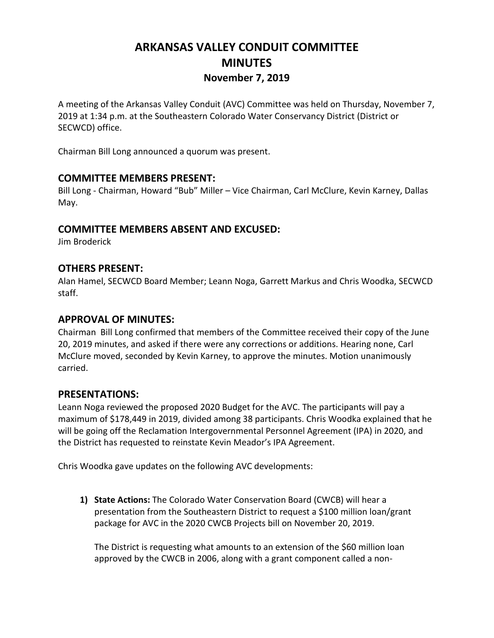# **ARKANSAS VALLEY CONDUIT COMMITTEE MINUTES November 7, 2019**

A meeting of the Arkansas Valley Conduit (AVC) Committee was held on Thursday, November 7, 2019 at 1:34 p.m. at the Southeastern Colorado Water Conservancy District (District or SECWCD) office.

Chairman Bill Long announced a quorum was present.

#### **COMMITTEE MEMBERS PRESENT:**

Bill Long - Chairman, Howard "Bub" Miller – Vice Chairman, Carl McClure, Kevin Karney, Dallas May.

#### **COMMITTEE MEMBERS ABSENT AND EXCUSED:**

Jim Broderick

#### **OTHERS PRESENT:**

Alan Hamel, SECWCD Board Member; Leann Noga, Garrett Markus and Chris Woodka, SECWCD staff.

#### **APPROVAL OF MINUTES:**

Chairman Bill Long confirmed that members of the Committee received their copy of the June 20, 2019 minutes, and asked if there were any corrections or additions. Hearing none, Carl McClure moved, seconded by Kevin Karney, to approve the minutes. Motion unanimously carried.

#### **PRESENTATIONS:**

Leann Noga reviewed the proposed 2020 Budget for the AVC. The participants will pay a maximum of \$178,449 in 2019, divided among 38 participants. Chris Woodka explained that he will be going off the Reclamation Intergovernmental Personnel Agreement (IPA) in 2020, and the District has requested to reinstate Kevin Meador's IPA Agreement.

Chris Woodka gave updates on the following AVC developments:

**1) State Actions:** The Colorado Water Conservation Board (CWCB) will hear a presentation from the Southeastern District to request a \$100 million loan/grant package for AVC in the 2020 CWCB Projects bill on November 20, 2019.

The District is requesting what amounts to an extension of the \$60 million loan approved by the CWCB in 2006, along with a grant component called a non-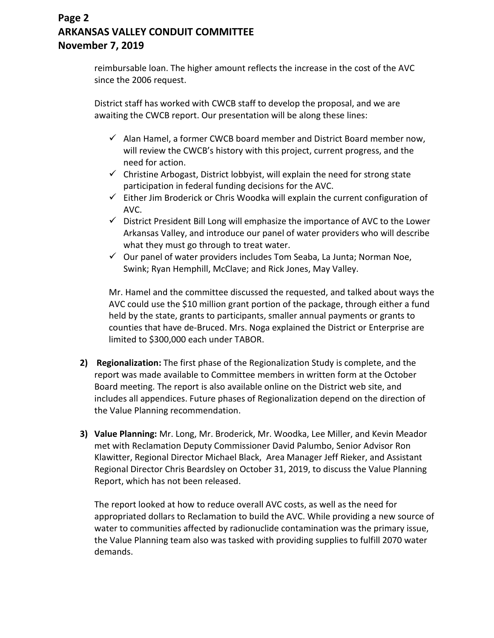### **Page 2 ARKANSAS VALLEY CONDUIT COMMITTEE November 7, 2019**

reimbursable loan. The higher amount reflects the increase in the cost of the AVC since the 2006 request.

District staff has worked with CWCB staff to develop the proposal, and we are awaiting the CWCB report. Our presentation will be along these lines:

- $\checkmark$  Alan Hamel, a former CWCB board member and District Board member now, will review the CWCB's history with this project, current progress, and the need for action.
- $\checkmark$  Christine Arbogast, District lobbyist, will explain the need for strong state participation in federal funding decisions for the AVC.
- $\checkmark$  Either Jim Broderick or Chris Woodka will explain the current configuration of AVC.
- $\checkmark$  District President Bill Long will emphasize the importance of AVC to the Lower Arkansas Valley, and introduce our panel of water providers who will describe what they must go through to treat water.
- $\checkmark$  Our panel of water providers includes Tom Seaba, La Junta; Norman Noe, Swink; Ryan Hemphill, McClave; and Rick Jones, May Valley.

Mr. Hamel and the committee discussed the requested, and talked about ways the AVC could use the \$10 million grant portion of the package, through either a fund held by the state, grants to participants, smaller annual payments or grants to counties that have de-Bruced. Mrs. Noga explained the District or Enterprise are limited to \$300,000 each under TABOR.

- **2) Regionalization:** The first phase of the Regionalization Study is complete, and the report was made available to Committee members in written form at the October Board meeting. The report is also available online on the District web site, and includes all appendices. Future phases of Regionalization depend on the direction of the Value Planning recommendation.
- **3) Value Planning:** Mr. Long, Mr. Broderick, Mr. Woodka, Lee Miller, and Kevin Meador met with Reclamation Deputy Commissioner David Palumbo, Senior Advisor Ron Klawitter, Regional Director Michael Black, Area Manager Jeff Rieker, and Assistant Regional Director Chris Beardsley on October 31, 2019, to discuss the Value Planning Report, which has not been released.

The report looked at how to reduce overall AVC costs, as well as the need for appropriated dollars to Reclamation to build the AVC. While providing a new source of water to communities affected by radionuclide contamination was the primary issue, the Value Planning team also was tasked with providing supplies to fulfill 2070 water demands.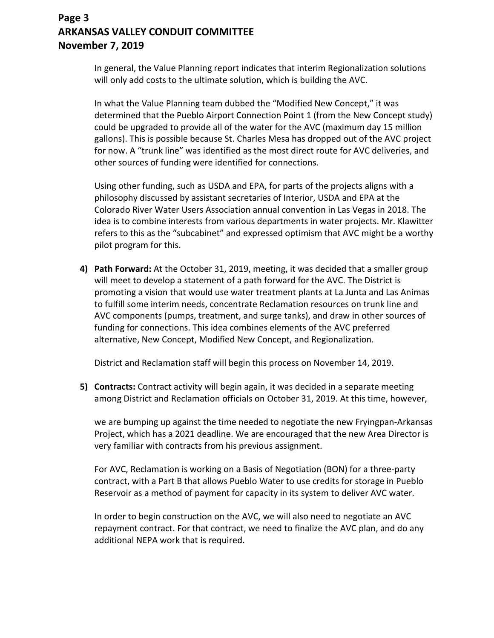### **Page 3 ARKANSAS VALLEY CONDUIT COMMITTEE November 7, 2019**

In general, the Value Planning report indicates that interim Regionalization solutions will only add costs to the ultimate solution, which is building the AVC.

In what the Value Planning team dubbed the "Modified New Concept," it was determined that the Pueblo Airport Connection Point 1 (from the New Concept study) could be upgraded to provide all of the water for the AVC (maximum day 15 million gallons). This is possible because St. Charles Mesa has dropped out of the AVC project for now. A "trunk line" was identified as the most direct route for AVC deliveries, and other sources of funding were identified for connections.

Using other funding, such as USDA and EPA, for parts of the projects aligns with a philosophy discussed by assistant secretaries of Interior, USDA and EPA at the Colorado River Water Users Association annual convention in Las Vegas in 2018. The idea is to combine interests from various departments in water projects. Mr. Klawitter refers to this as the "subcabinet" and expressed optimism that AVC might be a worthy pilot program for this.

**4) Path Forward:** At the October 31, 2019, meeting, it was decided that a smaller group will meet to develop a statement of a path forward for the AVC. The District is promoting a vision that would use water treatment plants at La Junta and Las Animas to fulfill some interim needs, concentrate Reclamation resources on trunk line and AVC components (pumps, treatment, and surge tanks), and draw in other sources of funding for connections. This idea combines elements of the AVC preferred alternative, New Concept, Modified New Concept, and Regionalization.

District and Reclamation staff will begin this process on November 14, 2019.

**5) Contracts:** Contract activity will begin again, it was decided in a separate meeting among District and Reclamation officials on October 31, 2019. At this time, however,

we are bumping up against the time needed to negotiate the new Fryingpan-Arkansas Project, which has a 2021 deadline. We are encouraged that the new Area Director is very familiar with contracts from his previous assignment.

For AVC, Reclamation is working on a Basis of Negotiation (BON) for a three-party contract, with a Part B that allows Pueblo Water to use credits for storage in Pueblo Reservoir as a method of payment for capacity in its system to deliver AVC water.

In order to begin construction on the AVC, we will also need to negotiate an AVC repayment contract. For that contract, we need to finalize the AVC plan, and do any additional NEPA work that is required.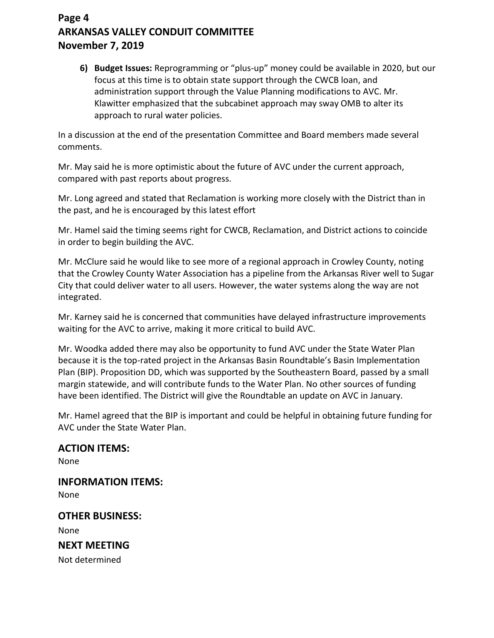## **Page 4 ARKANSAS VALLEY CONDUIT COMMITTEE November 7, 2019**

**6) Budget Issues:** Reprogramming or "plus-up" money could be available in 2020, but our focus at this time is to obtain state support through the CWCB loan, and administration support through the Value Planning modifications to AVC. Mr. Klawitter emphasized that the subcabinet approach may sway OMB to alter its approach to rural water policies.

In a discussion at the end of the presentation Committee and Board members made several comments.

Mr. May said he is more optimistic about the future of AVC under the current approach, compared with past reports about progress.

Mr. Long agreed and stated that Reclamation is working more closely with the District than in the past, and he is encouraged by this latest effort

Mr. Hamel said the timing seems right for CWCB, Reclamation, and District actions to coincide in order to begin building the AVC.

Mr. McClure said he would like to see more of a regional approach in Crowley County, noting that the Crowley County Water Association has a pipeline from the Arkansas River well to Sugar City that could deliver water to all users. However, the water systems along the way are not integrated.

Mr. Karney said he is concerned that communities have delayed infrastructure improvements waiting for the AVC to arrive, making it more critical to build AVC.

Mr. Woodka added there may also be opportunity to fund AVC under the State Water Plan because it is the top-rated project in the Arkansas Basin Roundtable's Basin Implementation Plan (BIP). Proposition DD, which was supported by the Southeastern Board, passed by a small margin statewide, and will contribute funds to the Water Plan. No other sources of funding have been identified. The District will give the Roundtable an update on AVC in January.

Mr. Hamel agreed that the BIP is important and could be helpful in obtaining future funding for AVC under the State Water Plan.

## **ACTION ITEMS:**

None

**INFORMATION ITEMS:** None **OTHER BUSINESS:**

None

**NEXT MEETING**

Not determined